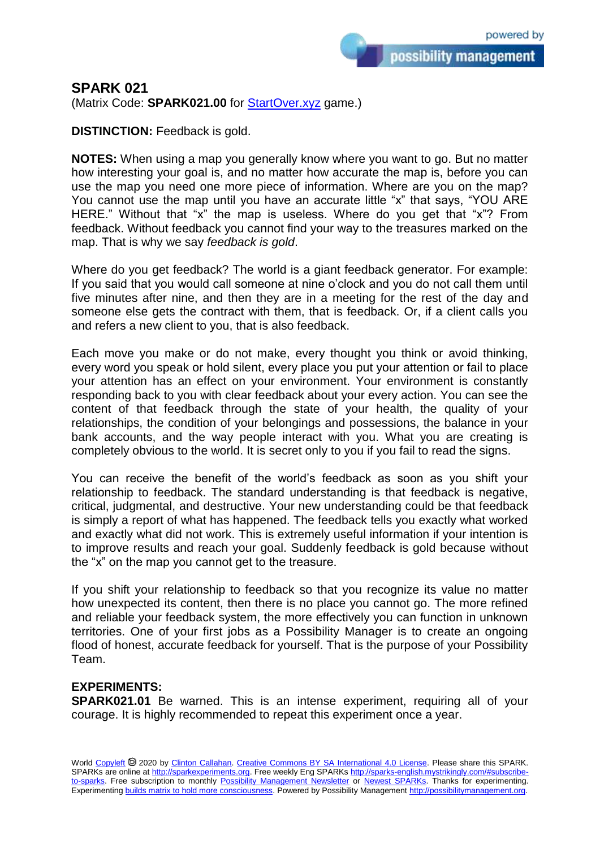possibility management

## **SPARK 021**

(Matrix Code: **SPARK021.00** for **StartOver.xyz** game.)

**DISTINCTION:** Feedback is gold.

**NOTES:** When using a map you generally know where you want to go. But no matter how interesting your goal is, and no matter how accurate the map is, before you can use the map you need one more piece of information. Where are you on the map? You cannot use the map until you have an accurate little "x" that says, "YOU ARE HERE." Without that "x" the map is useless. Where do you get that "x"? From feedback. Without feedback you cannot find your way to the treasures marked on the map. That is why we say *feedback is gold*.

Where do you get feedback? The world is a giant feedback generator. For example: If you said that you would call someone at nine o'clock and you do not call them until five minutes after nine, and then they are in a meeting for the rest of the day and someone else gets the contract with them, that is feedback. Or, if a client calls you and refers a new client to you, that is also feedback.

Each move you make or do not make, every thought you think or avoid thinking, every word you speak or hold silent, every place you put your attention or fail to place your attention has an effect on your environment. Your environment is constantly responding back to you with clear feedback about your every action. You can see the content of that feedback through the state of your health, the quality of your relationships, the condition of your belongings and possessions, the balance in your bank accounts, and the way people interact with you. What you are creating is completely obvious to the world. It is secret only to you if you fail to read the signs.

You can receive the benefit of the world's feedback as soon as you shift your relationship to feedback. The standard understanding is that feedback is negative, critical, judgmental, and destructive. Your new understanding could be that feedback is simply a report of what has happened. The feedback tells you exactly what worked and exactly what did not work. This is extremely useful information if your intention is to improve results and reach your goal. Suddenly feedback is gold because without the "x" on the map you cannot get to the treasure.

If you shift your relationship to feedback so that you recognize its value no matter how unexpected its content, then there is no place you cannot go. The more refined and reliable your feedback system, the more effectively you can function in unknown territories. One of your first jobs as a Possibility Manager is to create an ongoing flood of honest, accurate feedback for yourself. That is the purpose of your Possibility Team.

## **EXPERIMENTS:**

**SPARK021.01** Be warned. This is an intense experiment, requiring all of your courage. It is highly recommended to repeat this experiment once a year.